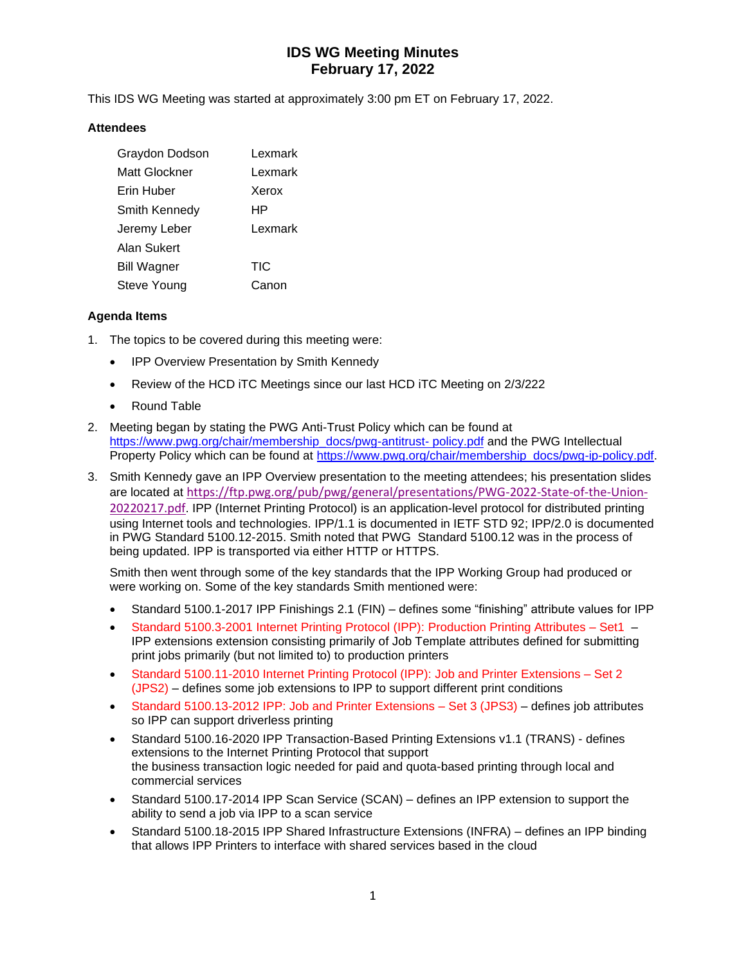# **IDS WG Meeting Minutes February 17, 2022**

This IDS WG Meeting was started at approximately 3:00 pm ET on February 17, 2022.

### **Attendees**

| Graydon Dodson       | Lexmark    |
|----------------------|------------|
| Matt Glockner        | Lexmark    |
| Erin Huber           | Xerox      |
| <b>Smith Kennedy</b> | HP         |
| Jeremy Leber         | Lexmark    |
| Alan Sukert          |            |
| <b>Bill Wagner</b>   | <b>TIC</b> |
| Steve Young          | Canon      |

### **Agenda Items**

- 1. The topics to be covered during this meeting were:
	- IPP Overview Presentation by Smith Kennedy
	- Review of the HCD iTC Meetings since our last HCD iTC Meeting on 2/3/222
	- Round Table
- 2. Meeting began by stating the PWG Anti-Trust Policy which can be found at [https://www.pwg.org/chair/membership\\_docs/pwg-antitrust-](https://www.pwg.org/chair/membership_docs/pwg-antitrust-%20policy.pdf) policy.pdf and the PWG Intellectual Property Policy which can be found at [https://www.pwg.org/chair/membership\\_docs/pwg-ip-policy.pdf.](https://www.pwg.org/chair/membership_docs/pwg-ip-policy.pdf)
- 3. Smith Kennedy gave an IPP Overview presentation to the meeting attendees; his presentation slides are located at [https://ftp.pwg.org/pub/pwg/general/presentations/PWG-2022-State-of-the-Union-](https://ftp.pwg.org/pub/pwg/general/presentations/PWG-2022-State-of-the-Union-20220217.pdf)[20220217.pdf](https://ftp.pwg.org/pub/pwg/general/presentations/PWG-2022-State-of-the-Union-20220217.pdf). IPP (Internet Printing Protocol) is an application-level protocol for distributed printing using Internet tools and technologies. IPP/1.1 is documented in IETF STD 92; IPP/2.0 is documented in PWG Standard 5100.12-2015. Smith noted that PWG Standard 5100.12 was in the process of being updated. IPP is transported via either HTTP or HTTPS.

Smith then went through some of the key standards that the IPP Working Group had produced or were working on. Some of the key standards Smith mentioned were:

- Standard 5100.1-2017 IPP Finishings 2.1 (FIN) defines some "finishing" attribute values for IPP
- Standard 5100.3-2001 Internet Printing Protocol (IPP): Production Printing Attributes Set1 IPP extensions extension consisting primarily of Job Template attributes defined for submitting print jobs primarily (but not limited to) to production printers
- Standard 5100.11-2010 Internet Printing Protocol (IPP): Job and Printer Extensions Set 2 (JPS2) – defines some job extensions to IPP to support different print conditions
- Standard 5100.13-2012 IPP: Job and Printer Extensions Set 3 (JPS3) defines job attributes so IPP can support driverless printing
- Standard 5100.16-2020 IPP Transaction-Based Printing Extensions v1.1 (TRANS) defines extensions to the Internet Printing Protocol that support the business transaction logic needed for paid and quota-based printing through local and commercial services
- Standard 5100.17-2014 IPP Scan Service (SCAN) defines an IPP extension to support the ability to send a job via IPP to a scan service
- Standard 5100.18-2015 IPP Shared Infrastructure Extensions (INFRA) defines an IPP binding that allows IPP Printers to interface with shared services based in the cloud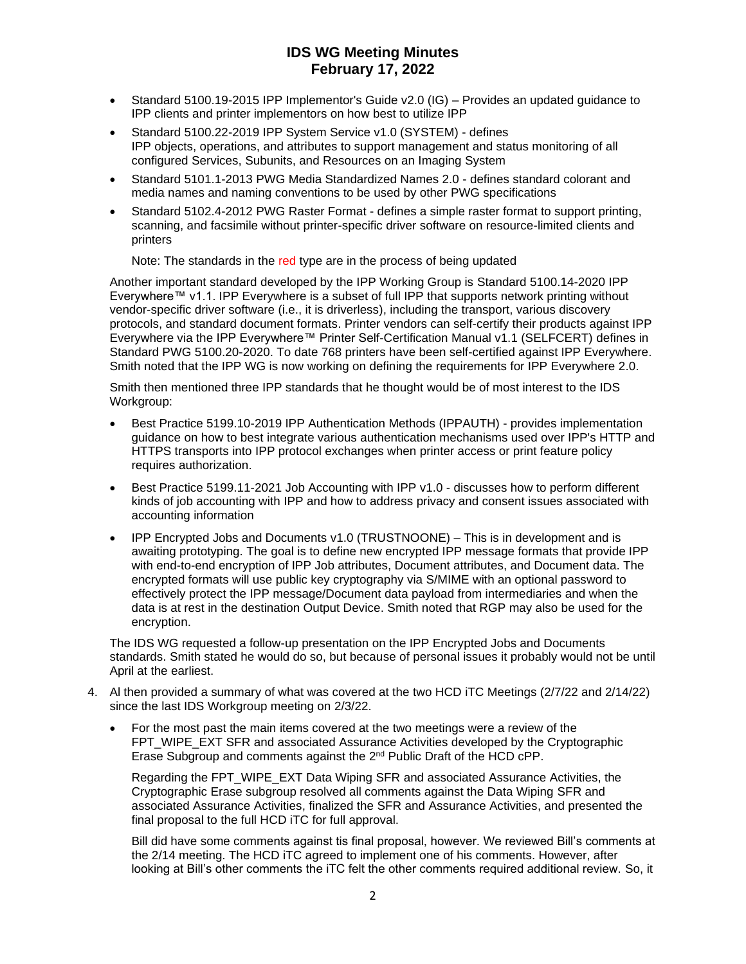## **IDS WG Meeting Minutes February 17, 2022**

- Standard 5100.19-2015 IPP Implementor's Guide v2.0 (IG) Provides an updated guidance to IPP clients and printer implementors on how best to utilize IPP
- Standard 5100.22-2019 IPP System Service v1.0 (SYSTEM) defines IPP objects, operations, and attributes to support management and status monitoring of all configured Services, Subunits, and Resources on an Imaging System
- Standard 5101.1-2013 PWG Media Standardized Names 2.0 defines standard colorant and media names and naming conventions to be used by other PWG specifications
- Standard 5102.4-2012 PWG Raster Format defines a simple raster format to support printing, scanning, and facsimile without printer-specific driver software on resource-limited clients and printers

Note: The standards in the red type are in the process of being updated

Another important standard developed by the IPP Working Group is Standard 5100.14-2020 IPP Everywhere™ v1.1. IPP Everywhere is a subset of full IPP that supports network printing without vendor-specific driver software (i.e., it is driverless), including the transport, various discovery protocols, and standard document formats. Printer vendors can self-certify their products against IPP Everywhere via the IPP Everywhere™ Printer Self-Certification Manual v1.1 (SELFCERT) defines in Standard PWG 5100.20-2020. To date 768 printers have been self-certified against IPP Everywhere. Smith noted that the IPP WG is now working on defining the requirements for IPP Everywhere 2.0.

Smith then mentioned three IPP standards that he thought would be of most interest to the IDS Workgroup:

- Best Practice 5199.10-2019 IPP Authentication Methods (IPPAUTH) provides implementation guidance on how to best integrate various authentication mechanisms used over IPP's HTTP and HTTPS transports into IPP protocol exchanges when printer access or print feature policy requires authorization.
- Best Practice 5199.11-2021 Job Accounting with IPP v1.0 discusses how to perform different kinds of job accounting with IPP and how to address privacy and consent issues associated with accounting information
- IPP Encrypted Jobs and Documents v1.0 (TRUSTNOONE) This is in development and is awaiting prototyping. The goal is to define new encrypted IPP message formats that provide IPP with end-to-end encryption of IPP Job attributes, Document attributes, and Document data. The encrypted formats will use public key cryptography via S/MIME with an optional password to effectively protect the IPP message/Document data payload from intermediaries and when the data is at rest in the destination Output Device. Smith noted that RGP may also be used for the encryption.

The IDS WG requested a follow-up presentation on the IPP Encrypted Jobs and Documents standards. Smith stated he would do so, but because of personal issues it probably would not be until April at the earliest.

- 4. Al then provided a summary of what was covered at the two HCD iTC Meetings (2/7/22 and 2/14/22) since the last IDS Workgroup meeting on 2/3/22.
	- For the most past the main items covered at the two meetings were a review of the FPT\_WIPE\_EXT SFR and associated Assurance Activities developed by the Cryptographic Erase Subgroup and comments against the 2nd Public Draft of the HCD cPP.

Regarding the FPT\_WIPE\_EXT Data Wiping SFR and associated Assurance Activities, the Cryptographic Erase subgroup resolved all comments against the Data Wiping SFR and associated Assurance Activities, finalized the SFR and Assurance Activities, and presented the final proposal to the full HCD iTC for full approval.

Bill did have some comments against tis final proposal, however. We reviewed Bill's comments at the 2/14 meeting. The HCD iTC agreed to implement one of his comments. However, after looking at Bill's other comments the iTC felt the other comments required additional review. So, it